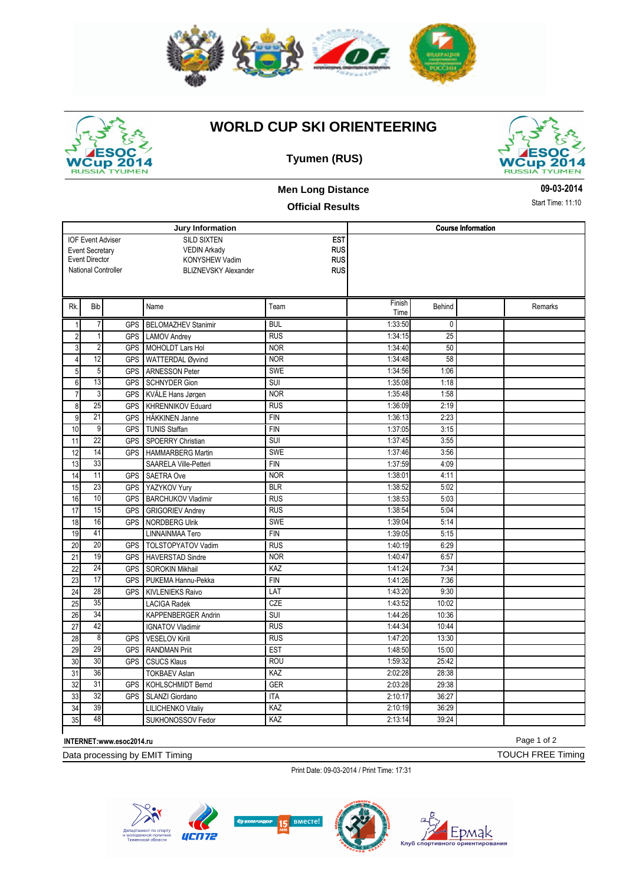



## **WORLD CUP SKI ORIENTEERING**





### **Men Long Distance**

#### **Official Results**

**Jury Information** SILD SIXTEN VEDIN Arkady KONYSHEW Vadim National Controller BLIZNEVSKY Alexander EST RUS RUS RUS **Course Information** IOF Event Adviser Event Secretary Event Director Rk. Bib Name Rk. Team Finish Time Behind Remarks 1 7 GPS BELOMAZHEV Stanimir BUL 1:33:50 0 2 1 GPS LAMOV Andrey RUS 1:34:15 25 3 2 GPS MOHOLDT Lars Hol NOR 1:34:40 50 4 12 GPS WATTERDAL Øyvind NOR 1:34:48 58 5 5 GPS ARNESSON Peter SWE SWE 1:34:56 1:06 6 13 GPS SCHNYDER Gion SUI ISUI 1:35:08 1:18 7 3 GPS KVÅLE Hans Jørgen NOR 1:35:48 1:58 8 25 GPS KHRENNIKOV Eduard RUS RUS 1:36:09 2:19 9 21 GPS HÄKKINEN Janne FIN 1:36:13 2:23 10 9 GPS TUNIS Staffan **FIN** FIN 1:37:05 3:15 11 22 GPS SPOERRY Christian SUI SUI 1:37:45 3:55 12 14 GPS HAMMARBERG Martin SWE 1:37:46 3:56 13 33 SAARELA Ville-Petteri FIN FIN 1:37:59 4:09 14 11 GPS SAETRA Ove NOR 1:38:01 4:11 15 23 GPS YAZYKOV Yury BLR 1:38:52 5:02 16 10 GPS BARCHUKOV Vladimir RUS RUS 1:38:53 5:03 17 15 GPS GRIGORIEV Andrey RUS 1:38:54 5:04 18 16 GPS NORDBERG Ulrik SWE 1:39:04 5:14 19 41 LINNAINMAA Tero FIN FIN 1:39:05 5:15 20 20 GPS TOLSTOPYATOV Vadim RUS RUS 1:40:19 6:29 21 19 GPS HAVERSTAD Sindre NOR NOR 1:40:47 6:57 22 24 GPS SOROKIN Mikhail KAZ 1:41:24 7:34 23 17 GPS PUKEMA Hannu-Pekka FIN 1:41:26 7:36<br>24 28 GPS KIVI ENIEKS Raivo LIAT 1:43:20 9:30 24 28 GPS KIVLENIEKS Raivo LAT LAT 1:43:20 25 35 LACIGA Radek CZE 1:43:52 10:02 26 34 KAPPENBERGER Andrin SUI 1:44:26 10:36 27 42 IGNATOV Vladimir RUS RUS 1:44:34 10:44 28 8 GPS VESELOV Kirill RUS RUS 1:47:20 13:30 29 29 GPS RANDMAN Priit EST 1:48:50 15:00 30 30 GPS CSUCS Klaus ROU ROU 1:59:32 25:42 31 36 TOKBAEV Aslan KAZ 2:02:28 28:38 32 31 GPS KOHLSCHMIDT Bernd GER 2:03:28 29:38 33 32 GPS SLANZI Giordano ITA 174 2:10:17 36:27 34 39 LILICHENKO Vitaliy KAZ 2:10:19 36:29 35 48 SUKHONOSSOV Fedor KAZ 2:13:14 39:24

**INTERNET:www.esoc2014.ru**

Data processing by EMIT Timing

Print Date: 09-03-2014 / Print Time: 17:31



Page 1 of 2

TOUCH FREE Timing

**09-03-2014**

Start Time: 11:10